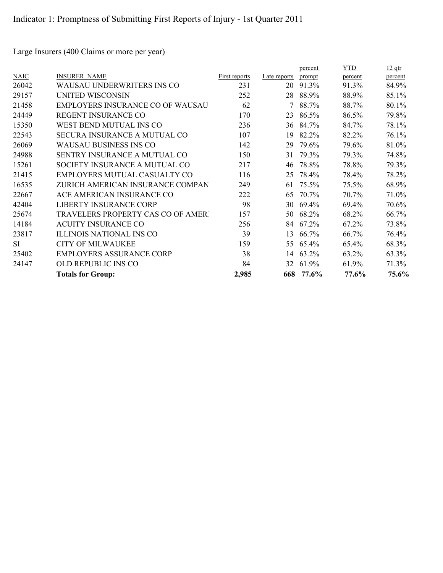Large Insurers (400 Claims or more per year)

|                                          |               |              | percent | YTD     | $12$ qtr |
|------------------------------------------|---------------|--------------|---------|---------|----------|
| <b>INSURER NAME</b>                      | First reports | Late reports | prompt  | percent | percent  |
| WAUSAU UNDERWRITERS INS CO               | 231           | 20           | 91.3%   | 91.3%   | 84.9%    |
| <b>UNITED WISCONSIN</b>                  | 252           | 28           | 88.9%   | 88.9%   | 85.1%    |
| <b>EMPLOYERS INSURANCE CO OF WAUSAU</b>  | 62            |              | 88.7%   | 88.7%   | 80.1%    |
| REGENT INSURANCE CO                      | 170           | 23           | 86.5%   | 86.5%   | 79.8%    |
| WEST BEND MUTUAL INS CO                  | 236           | 36           | 84.7%   | 84.7%   | 78.1%    |
| SECURA INSURANCE A MUTUAL CO             | 107           | 19           | 82.2%   | 82.2%   | 76.1%    |
| <b>WAUSAU BUSINESS INS CO</b>            | 142           | 29           | 79.6%   | 79.6%   | 81.0%    |
| SENTRY INSURANCE A MUTUAL CO             | 150           | 31           | 79.3%   | 79.3%   | 74.8%    |
| SOCIETY INSURANCE A MUTUAL CO            | 217           | 46           | 78.8%   | 78.8%   | 79.3%    |
| EMPLOYERS MUTUAL CASUALTY CO             | 116           | 25           | 78.4%   | 78.4%   | 78.2%    |
| ZURICH AMERICAN INSURANCE COMPAN         | 249           | 61           | 75.5%   | 75.5%   | 68.9%    |
| ACE AMERICAN INSURANCE CO                | 222           | 65           | 70.7%   | 70.7%   | 71.0%    |
| LIBERTY INSURANCE CORP                   | 98            | 30           | 69.4%   | 69.4%   | 70.6%    |
| <b>TRAVELERS PROPERTY CAS CO OF AMER</b> | 157           | 50           | 68.2%   | 68.2%   | 66.7%    |
| <b>ACUITY INSURANCE CO</b>               | 256           | 84           | 67.2%   | 67.2%   | 73.8%    |
| <b>ILLINOIS NATIONAL INS CO</b>          | 39            | 13           | 66.7%   | 66.7%   | 76.4%    |
| <b>CITY OF MILWAUKEE</b>                 | 159           | 55           | 65.4%   | 65.4%   | 68.3%    |
| <b>EMPLOYERS ASSURANCE CORP</b>          | 38            | 14           | 63.2%   | 63.2%   | 63.3%    |
| OLD REPUBLIC INS CO                      | 84            | 32           | 61.9%   | 61.9%   | 71.3%    |
| <b>Totals for Group:</b>                 | 2,985         |              | 77.6%   | 77.6%   | 75.6%    |
|                                          |               |              |         | 668     |          |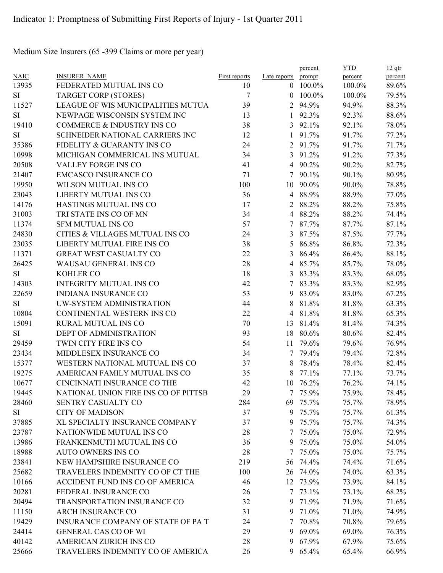Medium Size Insurers (65 -399 Claims or more per year)

|             |                                      |               |                | percent  | <b>YTD</b> | $12$ qtr |
|-------------|--------------------------------------|---------------|----------------|----------|------------|----------|
| <b>NAIC</b> | <b>INSURER NAME</b>                  | First reports | Late reports   | prompt   | percent    | percent  |
| 13935       | FEDERATED MUTUAL INS CO              | 10            | $\theta$       | 100.0%   | 100.0%     | 89.6%    |
| SI          | <b>TARGET CORP (STORES)</b>          | 7             | $\theta$       | 100.0%   | 100.0%     | 79.5%    |
| 11527       | LEAGUE OF WIS MUNICIPALITIES MUTUA   | 39            | $\overline{2}$ | 94.9%    | 94.9%      | 88.3%    |
| SI          | NEWPAGE WISCONSIN SYSTEM INC         | 13            | 1              | 92.3%    | 92.3%      | 88.6%    |
| 19410       | COMMERCE & INDUSTRY INS CO           | 38            | 3              | 92.1%    | 92.1%      | 78.0%    |
| SI          | SCHNEIDER NATIONAL CARRIERS INC      | 12            |                | 91.7%    | 91.7%      | 77.2%    |
| 35386       | FIDELITY & GUARANTY INS CO           | 24            | 2              | 91.7%    | 91.7%      | 71.7%    |
| 10998       | MICHIGAN COMMERICAL INS MUTUAL       | 34            | $\overline{3}$ | 91.2%    | 91.2%      | 77.3%    |
| 20508       | <b>VALLEY FORGE INS CO</b>           | 41            | 4              | 90.2%    | 90.2%      | 82.7%    |
| 21407       | <b>EMCASCO INSURANCE CO</b>          | 71            | 7              | 90.1%    | 90.1%      | 80.9%    |
| 19950       | WILSON MUTUAL INS CO                 | 100           | 10             | 90.0%    | 90.0%      | 78.8%    |
| 23043       | LIBERTY MUTUAL INS CO                | 36            | $\overline{4}$ | 88.9%    | 88.9%      | 77.0%    |
| 14176       | HASTINGS MUTUAL INS CO               | 17            | 2              | 88.2%    | 88.2%      | 75.8%    |
| 31003       | TRI STATE INS CO OF MN               | 34            | 4              | 88.2%    | 88.2%      | 74.4%    |
| 11374       | <b>SFM MUTUAL INS CO</b>             | 57            | 7              | 87.7%    | 87.7%      | 87.1%    |
| 24830       | CITIES & VILLAGES MUTUAL INS CO      | 24            | 3              | 87.5%    | 87.5%      | 77.7%    |
| 23035       | LIBERTY MUTUAL FIRE INS CO           | 38            | 5              | 86.8%    | 86.8%      | 72.3%    |
| 11371       | GREAT WEST CASUALTY CO               | 22            | 3              | 86.4%    | 86.4%      | 88.1%    |
| 26425       | WAUSAU GENERAL INS CO                | 28            | $\overline{4}$ | 85.7%    | 85.7%      | 78.0%    |
| SI          | <b>KOHLER CO</b>                     | 18            | 3              | 83.3%    | 83.3%      | 68.0%    |
| 14303       | <b>INTEGRITY MUTUAL INS CO</b>       | 42            | 7              | 83.3%    | 83.3%      | 82.9%    |
| 22659       | <b>INDIANA INSURANCE CO</b>          | 53            | 9              | 83.0%    | 83.0%      | 67.2%    |
| SI          | UW-SYSTEM ADMINISTRATION             | 44            | 8              | 81.8%    | 81.8%      | 63.3%    |
| 10804       | CONTINENTAL WESTERN INS CO           | 22            | 4              | 81.8%    | 81.8%      | 65.3%    |
| 15091       | RURAL MUTUAL INS CO                  | 70            | 13             | 81.4%    | 81.4%      | 74.3%    |
| SI          | DEPT OF ADMINISTRATION               | 93            | 18             | 80.6%    | 80.6%      | 82.4%    |
| 29459       | TWIN CITY FIRE INS CO                | 54            | 11             | 79.6%    | 79.6%      | 76.9%    |
| 23434       | MIDDLESEX INSURANCE CO               | 34            | 7              | 79.4%    | 79.4%      | 72.8%    |
| 15377       | WESTERN NATIONAL MUTUAL INS CO       | 37            | 8              | 78.4%    | 78.4%      | 82.4%    |
| 19275       | AMERICAN FAMILY MUTUAL INS CO        | 35            | 8              | 77.1%    | 77.1%      | 73.7%    |
| 10677       | CINCINNATI INSURANCE CO THE          | 42            | 10             | 76.2%    | 76.2%      | 74.1%    |
| 19445       | NATIONAL UNION FIRE INS CO OF PITTSB | 29            |                | 7 75.9%  | 75.9%      | 78.4%    |
| 28460       | SENTRY CASUALTY CO                   | 284           |                | 69 75.7% | 75.7%      | 78.9%    |
| SI          | <b>CITY OF MADISON</b>               | 37            |                | 9 75.7%  | 75.7%      | 61.3%    |
| 37885       | XL SPECIALTY INSURANCE COMPANY       | 37            |                | 9 75.7%  | 75.7%      | 74.3%    |
| 23787       | NATIONWIDE MUTUAL INS CO             | 28            |                | 7 75.0%  | 75.0%      | 72.9%    |
| 13986       | FRANKENMUTH MUTUAL INS CO            | 36            |                | 9 75.0%  | 75.0%      | 54.0%    |
| 18988       | <b>AUTO OWNERS INS CO</b>            | 28            | 7              | 75.0%    | 75.0%      | 75.7%    |
| 23841       | NEW HAMPSHIRE INSURANCE CO           | 219           |                | 56 74.4% | 74.4%      | 71.6%    |
| 25682       |                                      |               |                |          |            |          |
|             | TRAVELERS INDEMNITY CO OF CT THE     | 100           |                | 26 74.0% | 74.0%      | 63.3%    |
| 10166       | ACCIDENT FUND INS CO OF AMERICA      | 46            |                | 12 73.9% | 73.9%      | 84.1%    |
| 20281       | FEDERAL INSURANCE CO                 | 26            |                | 7 73.1%  | 73.1%      | 68.2%    |
| 20494       | TRANSPORTATION INSURANCE CO          | 32            |                | 9 71.9%  | 71.9%      | 71.6%    |
| 11150       | ARCH INSURANCE CO                    | 31            |                | 9 71.0%  | 71.0%      | 74.9%    |
| 19429       | INSURANCE COMPANY OF STATE OF PAT    | 24            | 7              | 70.8%    | 70.8%      | 79.6%    |
| 24414       | <b>GENERAL CAS CO OF WI</b>          | 29            |                | 9 69.0%  | 69.0%      | 76.3%    |
| 40142       | AMERICAN ZURICH INS CO               | 28            |                | 9 67.9%  | 67.9%      | 75.6%    |
| 25666       | TRAVELERS INDEMNITY CO OF AMERICA    | 26            |                | 9 65.4%  | 65.4%      | 66.9%    |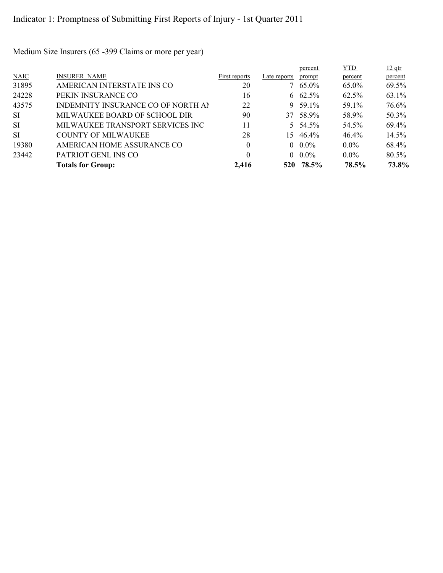Medium Size Insurers (65 -399 Claims or more per year)

|           |                                    |               |              | percent     | YTD.    | $12$ qtr |
|-----------|------------------------------------|---------------|--------------|-------------|---------|----------|
| N AIC     | <b>INSURER NAME</b>                | First reports | Late reports | prompt      | percent | percent  |
| 31895     | AMERICAN INTERSTATE INS CO         | 20            |              | $7\,65.0\%$ | 65.0%   | 69.5%    |
| 24228     | PEKIN INSURANCE CO                 | 16            |              | 6 $62.5\%$  | 62.5%   | 63.1%    |
| 43575     | INDEMNITY INSURANCE CO OF NORTH AI | 22            |              | $9.59.1\%$  | 59.1%   | 76.6%    |
| SI.       | MILWAUKEE BOARD OF SCHOOL DIR      | 90            | 37           | 58.9%       | 58.9%   | 50.3%    |
| <b>SI</b> | MILWAUKEE TRANSPORT SERVICES INC   | 11            |              | 5 $54.5\%$  | 54.5%   | 69.4%    |
| <b>SI</b> | <b>COUNTY OF MILWAUKEE</b>         | 28            | 15.          | 46.4%       | 46.4%   | $14.5\%$ |
| 19380     | AMERICAN HOME ASSURANCE CO         | $\theta$      |              | $0.0\%$     | $0.0\%$ | 68.4%    |
| 23442     | PATRIOT GENL INS CO                | $\theta$      |              | $0.0\%$     | $0.0\%$ | 80.5%    |
|           | <b>Totals for Group:</b>           | 2,416         |              | 520 78.5%   | 78.5%   | 73.8%    |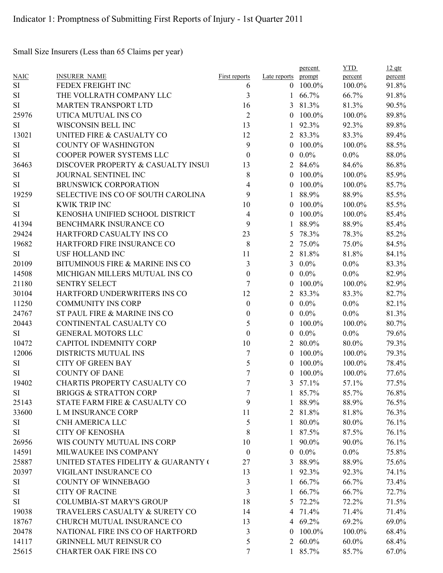Small Size Insurers (Less than 65 Claims per year)

|             |                                     |                  |                    | percent         | <b>YTD</b> | $12$ qtr |
|-------------|-------------------------------------|------------------|--------------------|-----------------|------------|----------|
| <b>NAIC</b> | <b>INSURER NAME</b>                 | First reports    | Late reports       | prompt          | percent    | percent  |
| <b>SI</b>   | FEDEX FREIGHT INC                   | 6                | $\Omega$           | 100.0%          | 100.0%     | 91.8%    |
| SI          | THE VOLLRATH COMPANY LLC            | 3                | 1                  | 66.7%           | 66.7%      | 91.8%    |
| <b>SI</b>   | <b>MARTEN TRANSPORT LTD</b>         | 16               | 3                  | 81.3%           | 81.3%      | 90.5%    |
| 25976       | UTICA MUTUAL INS CO                 | $\overline{2}$   | $\theta$           | 100.0%          | 100.0%     | 89.8%    |
| SI          | WISCONSIN BELL INC                  | 13               | $\mathbf{1}$       | 92.3%           | 92.3%      | 89.8%    |
| 13021       | UNITED FIRE & CASUALTY CO           | 12               | $\overline{2}$     | 83.3%           | 83.3%      | 89.4%    |
| SI          | <b>COUNTY OF WASHINGTON</b>         | 9                | $\theta$           | 100.0%          | 100.0%     | 88.5%    |
| <b>SI</b>   | COOPER POWER SYSTEMS LLC            | 0                | $\left( 0 \right)$ | $0.0\%$         | $0.0\%$    | 88.0%    |
| 36463       | DISCOVER PROPERTY & CASUALTY INSUI  | 13               | 2                  | 84.6%           | 84.6%      | 86.8%    |
| SI          | JOURNAL SENTINEL INC                | 8                | $\theta$           | 100.0%          | 100.0%     | 85.9%    |
| SI          | BRUNSWICK CORPORATION               | 4                | $\left( 0 \right)$ | 100.0%          | 100.0%     | 85.7%    |
| 19259       | SELECTIVE INS CO OF SOUTH CAROLINA  | 9                | 1                  | 88.9%           | 88.9%      | 85.5%    |
| <b>SI</b>   | <b>KWIK TRIP INC</b>                | 10               | $\left( 0 \right)$ | 100.0%          | 100.0%     | 85.5%    |
| <b>SI</b>   | KENOSHA UNIFIED SCHOOL DISTRICT     | 4                | $\theta$           | 100.0%          | 100.0%     | 85.4%    |
| 41394       | BENCHMARK INSURANCE CO              | 9                | 1                  | 88.9%           | 88.9%      | 85.4%    |
| 29424       | <b>HARTFORD CASUALTY INS CO</b>     | 23               | 5                  | 78.3%           | 78.3%      | 85.2%    |
| 19682       | HARTFORD FIRE INSURANCE CO          | 8                | 2                  | 75.0%           | 75.0%      | 84.5%    |
| <b>SI</b>   | <b>USF HOLLAND INC</b>              | 11               | $\overline{2}$     | 81.8%           | 81.8%      | 84.1%    |
| 20109       | BITUMINOUS FIRE & MARINE INS CO     | $\mathfrak{Z}$   | $\overline{3}$     | $0.0\%$         | $0.0\%$    | 83.3%    |
| 14508       | MICHIGAN MILLERS MUTUAL INS CO      | $\boldsymbol{0}$ | $\left( 0 \right)$ | $0.0\%$         | $0.0\%$    | 82.9%    |
| 21180       | <b>SENTRY SELECT</b>                | 7                | $\theta$           | 100.0%          | 100.0%     | 82.9%    |
| 30104       | HARTFORD UNDERWRITERS INS CO        | 12               | 2                  | 83.3%           | 83.3%      | 82.7%    |
| 11250       | <b>COMMUNITY INS CORP</b>           | $\boldsymbol{0}$ | $\overline{0}$     | $0.0\%$         | $0.0\%$    | 82.1%    |
| 24767       | ST PAUL FIRE & MARINE INS CO        | 0                | $\theta$           | $0.0\%$         | $0.0\%$    | 81.3%    |
| 20443       | CONTINENTAL CASUALTY CO             | 5                | $\left( 0 \right)$ | 100.0%          | 100.0%     | 80.7%    |
| SI          | <b>GENERAL MOTORS LLC</b>           | $\overline{0}$   | $\overline{0}$     | $0.0\%$         | $0.0\%$    | 79.6%    |
| 10472       | <b>CAPITOL INDEMNITY CORP</b>       | 10               | 2                  | 80.0%           | 80.0%      | 79.3%    |
| 12006       | DISTRICTS MUTUAL INS                | 7                | $\theta$           | 100.0%          | 100.0%     | 79.3%    |
| SI          | <b>CITY OF GREEN BAY</b>            | 5                | $\left( 0 \right)$ | 100.0%          | 100.0%     | 78.4%    |
| SI          | <b>COUNTY OF DANE</b>               | 7                | $\theta$           | 100.0%          | 100.0%     | 77.6%    |
| 19402       | CHARTIS PROPERTY CASUALTY CO        | 7                | 3                  | 57.1%           | 57.1%      | 77.5%    |
| SI          | <b>BRIGGS &amp; STRATTON CORP</b>   | 7                | $\mathbf{1}$       | 85.7%           | 85.7%      | 76.8%    |
| 25143       | STATE FARM FIRE & CASUALTY CO       | 9                | $\mathbf{1}$       | 88.9%           | 88.9%      | 76.5%    |
| 33600       | L M INSURANCE CORP                  | 11               |                    | 2 81.8%         | 81.8%      | 76.3%    |
| SI          | <b>CNH AMERICA LLC</b>              | 5                |                    | $1\ 80.0\%$     | 80.0%      | 76.1%    |
| SI          | <b>CITY OF KENOSHA</b>              | 8                |                    | 1 87.5%         | 87.5%      | 76.1%    |
| 26956       | WIS COUNTY MUTUAL INS CORP          | 10               | $\mathbf{1}$       | 90.0%           | 90.0%      | 76.1%    |
| 14591       | MILWAUKEE INS COMPANY               | $\boldsymbol{0}$ | $\overline{0}$     | $0.0\%$         | $0.0\%$    | 75.8%    |
| 25887       | UNITED STATES FIDELITY & GUARANTY ( | 27               | 3                  | 88.9%           | 88.9%      | 75.6%    |
| 20397       | VIGILANT INSURANCE CO               | 13               | $\mathbf{1}$       | 92.3%           | 92.3%      |          |
|             | <b>COUNTY OF WINNEBAGO</b>          |                  |                    |                 |            | 74.1%    |
| SI          |                                     | 3                |                    | $1\quad 66.7\%$ | 66.7%      | 73.4%    |
| SI          | <b>CITY OF RACINE</b>               | 3                | 1                  | 66.7%           | 66.7%      | 72.7%    |
| SI          | <b>COLUMBIA-ST MARY'S GROUP</b>     | 18               | 5                  | 72.2%           | 72.2%      | 71.5%    |
| 19038       | TRAVELERS CASUALTY & SURETY CO      | 14               |                    | 4 71.4%         | 71.4%      | 71.4%    |
| 18767       | CHURCH MUTUAL INSURANCE CO          | 13               |                    | 4 69.2%         | 69.2%      | 69.0%    |
| 20478       | NATIONAL FIRE INS CO OF HARTFORD    | 3                | $\theta$           | 100.0%          | 100.0%     | 68.4%    |
| 14117       | <b>GRINNELL MUT REINSUR CO</b>      | 5                |                    | 2 $60.0\%$      | 60.0%      | 68.4%    |
| 25615       | CHARTER OAK FIRE INS CO             | 7                |                    | 1 85.7%         | 85.7%      | 67.0%    |